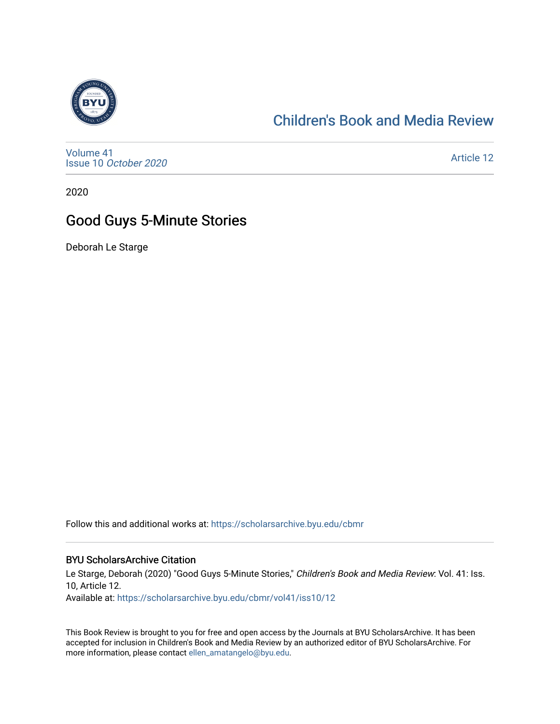

## [Children's Book and Media Review](https://scholarsarchive.byu.edu/cbmr)

[Volume 41](https://scholarsarchive.byu.edu/cbmr/vol41) Issue 10 [October 2020](https://scholarsarchive.byu.edu/cbmr/vol41/iss10)

[Article 12](https://scholarsarchive.byu.edu/cbmr/vol41/iss10/12) 

2020

## Good Guys 5-Minute Stories

Deborah Le Starge

Follow this and additional works at: [https://scholarsarchive.byu.edu/cbmr](https://scholarsarchive.byu.edu/cbmr?utm_source=scholarsarchive.byu.edu%2Fcbmr%2Fvol41%2Fiss10%2F12&utm_medium=PDF&utm_campaign=PDFCoverPages) 

## BYU ScholarsArchive Citation

Le Starge, Deborah (2020) "Good Guys 5-Minute Stories," Children's Book and Media Review: Vol. 41: Iss. 10, Article 12.

Available at: [https://scholarsarchive.byu.edu/cbmr/vol41/iss10/12](https://scholarsarchive.byu.edu/cbmr/vol41/iss10/12?utm_source=scholarsarchive.byu.edu%2Fcbmr%2Fvol41%2Fiss10%2F12&utm_medium=PDF&utm_campaign=PDFCoverPages) 

This Book Review is brought to you for free and open access by the Journals at BYU ScholarsArchive. It has been accepted for inclusion in Children's Book and Media Review by an authorized editor of BYU ScholarsArchive. For more information, please contact [ellen\\_amatangelo@byu.edu.](mailto:ellen_amatangelo@byu.edu)